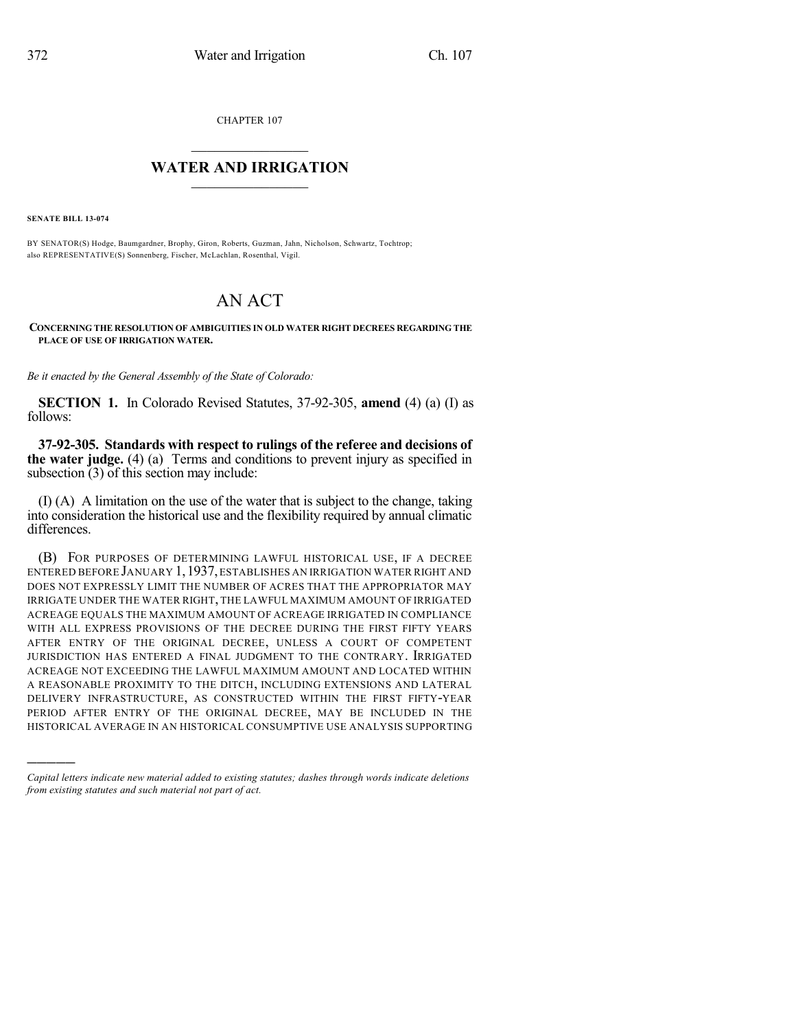CHAPTER 107

## $\overline{\phantom{a}}$  . The set of the set of the set of the set of the set of the set of the set of the set of the set of the set of the set of the set of the set of the set of the set of the set of the set of the set of the set o **WATER AND IRRIGATION**  $\_$   $\_$

**SENATE BILL 13-074**

)))))

BY SENATOR(S) Hodge, Baumgardner, Brophy, Giron, Roberts, Guzman, Jahn, Nicholson, Schwartz, Tochtrop; also REPRESENTATIVE(S) Sonnenberg, Fischer, McLachlan, Rosenthal, Vigil.

## AN ACT

**CONCERNING THE RESOLUTION OF AMBIGUITIES IN OLD WATER RIGHT DECREES REGARDING THE PLACE OF USE OF IRRIGATION WATER.**

*Be it enacted by the General Assembly of the State of Colorado:*

**SECTION 1.** In Colorado Revised Statutes, 37-92-305, **amend** (4) (a) (I) as follows:

**37-92-305. Standards with respect to rulings of the referee and decisions of the water judge.** (4) (a) Terms and conditions to prevent injury as specified in subsection (3) of this section may include:

(I) (A) A limitation on the use of the water that is subject to the change, taking into consideration the historical use and the flexibility required by annual climatic differences.

(B) FOR PURPOSES OF DETERMINING LAWFUL HISTORICAL USE, IF A DECREE ENTERED BEFORE JANUARY 1,1937,ESTABLISHES AN IRRIGATION WATER RIGHT AND DOES NOT EXPRESSLY LIMIT THE NUMBER OF ACRES THAT THE APPROPRIATOR MAY IRRIGATE UNDER THE WATER RIGHT, THE LAWFUL MAXIMUM AMOUNT OF IRRIGATED ACREAGE EQUALS THE MAXIMUM AMOUNT OF ACREAGE IRRIGATED IN COMPLIANCE WITH ALL EXPRESS PROVISIONS OF THE DECREE DURING THE FIRST FIFTY YEARS AFTER ENTRY OF THE ORIGINAL DECREE, UNLESS A COURT OF COMPETENT JURISDICTION HAS ENTERED A FINAL JUDGMENT TO THE CONTRARY. IRRIGATED ACREAGE NOT EXCEEDING THE LAWFUL MAXIMUM AMOUNT AND LOCATED WITHIN A REASONABLE PROXIMITY TO THE DITCH, INCLUDING EXTENSIONS AND LATERAL DELIVERY INFRASTRUCTURE, AS CONSTRUCTED WITHIN THE FIRST FIFTY-YEAR PERIOD AFTER ENTRY OF THE ORIGINAL DECREE, MAY BE INCLUDED IN THE HISTORICAL AVERAGE IN AN HISTORICAL CONSUMPTIVE USE ANALYSIS SUPPORTING

*Capital letters indicate new material added to existing statutes; dashes through words indicate deletions from existing statutes and such material not part of act.*